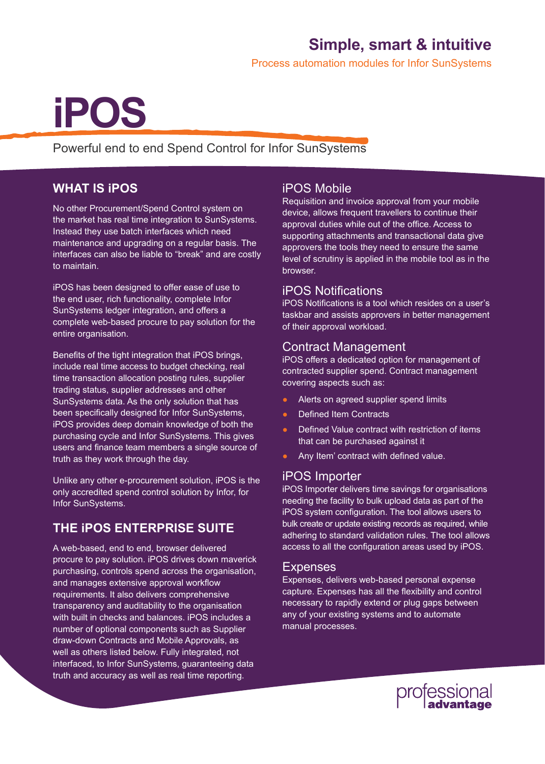### **Simple, smart & intuitive**

Process automation modules for Infor SunSystems

# **iPOS**

Powerful end to end Spend Control for Infor SunSystems

#### **WHAT IS iPOS**

No other Procurement/Spend Control system on the market has real time integration to SunSystems. Instead they use batch interfaces which need maintenance and upgrading on a regular basis. The interfaces can also be liable to "break" and are costly to maintain.

iPOS has been designed to offer ease of use to the end user, rich functionality, complete Infor SunSystems ledger integration, and offers a complete web-based procure to pay solution for the entire organisation.

Benefits of the tight integration that iPOS brings, include real time access to budget checking, real time transaction allocation posting rules, supplier trading status, supplier addresses and other SunSystems data. As the only solution that has been specifically designed for Infor SunSystems, iPOS provides deep domain knowledge of both the purchasing cycle and Infor SunSystems. This gives users and finance team members a single source of truth as they work through the day.

Unlike any other e-procurement solution, iPOS is the only accredited spend control solution by Infor, for Infor SunSystems.

#### **THE iPOS ENTERPRISE SUITE**

A web-based, end to end, browser delivered procure to pay solution. iPOS drives down maverick purchasing, controls spend across the organisation, and manages extensive approval workflow requirements. It also delivers comprehensive transparency and auditability to the organisation with built in checks and balances. iPOS includes a number of optional components such as Supplier draw-down Contracts and Mobile Approvals, as well as others listed below. Fully integrated, not interfaced, to Infor SunSystems, guaranteeing data truth and accuracy as well as real time reporting.

#### iPOS Mobile

Requisition and invoice approval from your mobile device, allows frequent travellers to continue their approval duties while out of the office. Access to supporting attachments and transactional data give approvers the tools they need to ensure the same level of scrutiny is applied in the mobile tool as in the browser.

#### iPOS Notifications

iPOS Notifications is a tool which resides on a user's taskbar and assists approvers in better management of their approval workload.

#### Contract Management

iPOS offers a dedicated option for management of contracted supplier spend. Contract management covering aspects such as:

- **●** Alerts on agreed supplier spend limits
- **Defined Item Contracts**
- Defined Value contract with restriction of items that can be purchased against it
- Any Item' contract with defined value.

#### iPOS Importer

iPOS Importer delivers time savings for organisations needing the facility to bulk upload data as part of the iPOS system configuration. The tool allows users to bulk create or update existing records as required, while adhering to standard validation rules. The tool allows access to all the configuration areas used by iPOS.

#### Expenses

Expenses, delivers web-based personal expense capture. Expenses has all the flexibility and control necessary to rapidly extend or plug gaps between any of your existing systems and to automate manual processes.